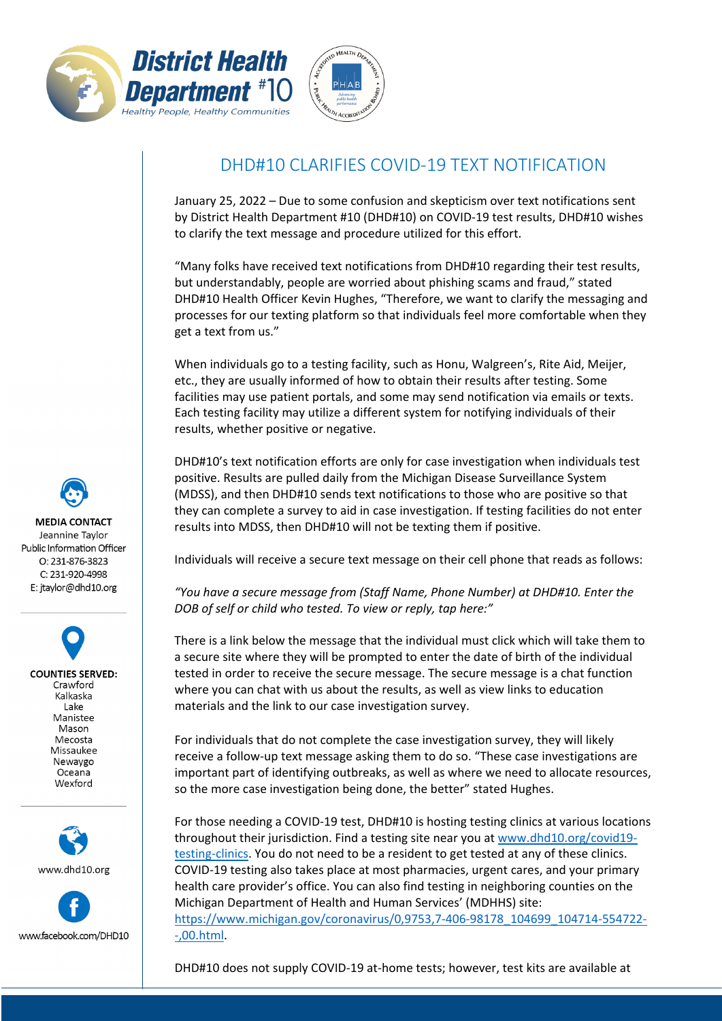



## DHD#10 CLARIFIES COVID-19 TEXT NOTIFICATION

January 25, 2022 – Due to some confusion and skepticism over text notifications sent by District Health Department #10 (DHD#10) on COVID-19 test results, DHD#10 wishes to clarify the text message and procedure utilized for this effort.

"Many folks have received text notifications from DHD#10 regarding their test results, but understandably, people are worried about phishing scams and fraud," stated DHD#10 Health Officer Kevin Hughes, "Therefore, we want to clarify the messaging and processes for our texting platform so that individuals feel more comfortable when they get a text from us."

When individuals go to a testing facility, such as Honu, Walgreen's, Rite Aid, Meijer, etc., they are usually informed of how to obtain their results after testing. Some facilities may use patient portals, and some may send notification via emails or texts. Each testing facility may utilize a different system for notifying individuals of their results, whether positive or negative.

DHD#10's text notification efforts are only for case investigation when individuals test positive. Results are pulled daily from the Michigan Disease Surveillance System (MDSS), and then DHD#10 sends text notifications to those who are positive so that they can complete a survey to aid in case investigation. If testing facilities do not enter results into MDSS, then DHD#10 will not be texting them if positive.

Individuals will receive a secure text message on their cell phone that reads as follows:

*"You have a secure message from (Staff Name, Phone Number) at DHD#10. Enter the DOB of self or child who tested. To view or reply, tap here:"* 

There is a link below the message that the individual must click which will take them to a secure site where they will be prompted to enter the date of birth of the individual tested in order to receive the secure message. The secure message is a chat function where you can chat with us about the results, as well as view links to education materials and the link to our case investigation survey.

For individuals that do not complete the case investigation survey, they will likely receive a follow-up text message asking them to do so. "These case investigations are important part of identifying outbreaks, as well as where we need to allocate resources, so the more case investigation being done, the better" stated Hughes.

For those needing a COVID-19 test, DHD#10 is hosting testing clinics at various locations throughout their jurisdiction. Find a testing site near you a[t www.dhd10.org/covid19](http://www.dhd10.org/covid19-testing-clinics) [testing-clinics.](http://www.dhd10.org/covid19-testing-clinics) You do not need to be a resident to get tested at any of these clinics. COVID-19 testing also takes place at most pharmacies, urgent cares, and your primary health care provider's office. You can also find testing in neighboring counties on the Michigan Department of Health and Human Services' (MDHHS) site: [https://www.michigan.gov/coronavirus/0,9753,7-406-98178\\_104699\\_104714-554722-](https://www.michigan.gov/coronavirus/0,9753,7-406-98178_104699_104714-554722--,00.html) [-,00.html.](https://www.michigan.gov/coronavirus/0,9753,7-406-98178_104699_104714-554722--,00.html)

DHD#10 does not supply COVID-19 at-home tests; however, test kits are available at

**MEDIA CONTACT** Jeannine Taylor Public Information Officer  $O: 231 - 876 - 3823$ C: 231-920-4998 E: jtaylor@dhd10.org

**COUNTIES SERVED:** Crawford Kalkaska Lake Manistee Mason Mecosta Missaukee Newaygo Oceana Wexford